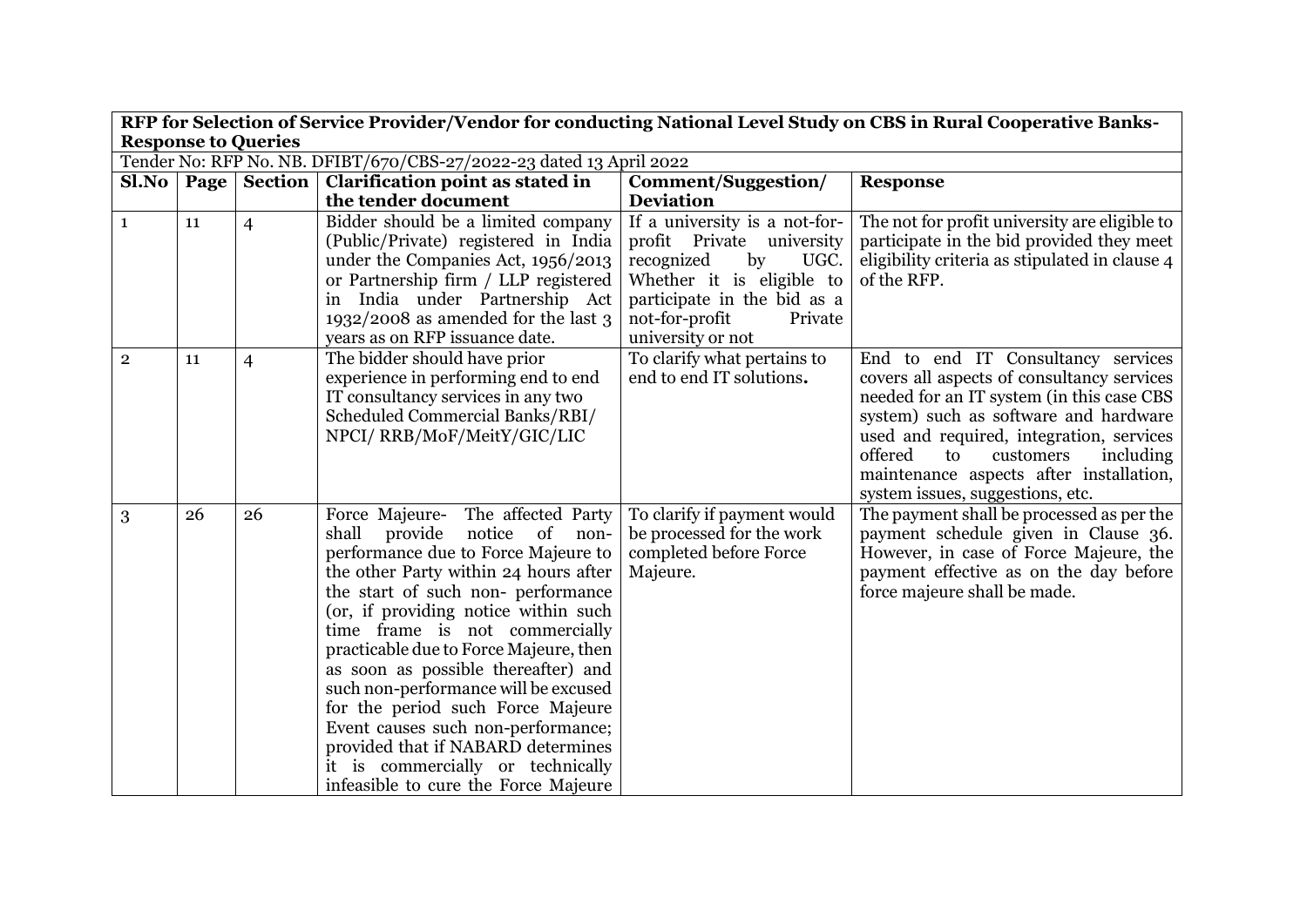|                            | RFP for Selection of Service Provider/Vendor for conducting National Level Study on CBS in Rural Cooperative Banks- |                       |                                                                            |                                                            |                                                                                            |  |  |
|----------------------------|---------------------------------------------------------------------------------------------------------------------|-----------------------|----------------------------------------------------------------------------|------------------------------------------------------------|--------------------------------------------------------------------------------------------|--|--|
| <b>Response to Queries</b> |                                                                                                                     |                       |                                                                            |                                                            |                                                                                            |  |  |
|                            | Tender No: RFP No. NB. DFIBT/670/CBS-27/2022-23 dated 13 April 2022                                                 |                       |                                                                            |                                                            |                                                                                            |  |  |
|                            |                                                                                                                     | SlNo   Page   Section | <b>Clarification point as stated in</b>                                    | Comment/Suggestion/                                        | <b>Response</b>                                                                            |  |  |
|                            |                                                                                                                     |                       | the tender document                                                        | <b>Deviation</b>                                           |                                                                                            |  |  |
| $\mathbf{1}$               | 11                                                                                                                  | $\overline{4}$        | Bidder should be a limited company<br>(Public/Private) registered in India | If a university is a not-for-<br>profit Private university | The not for profit university are eligible to<br>participate in the bid provided they meet |  |  |
|                            |                                                                                                                     |                       | under the Companies Act, 1956/2013<br>or Partnership firm / LLP registered | by<br>recognized<br>UGC.<br>Whether it is eligible to      | eligibility criteria as stipulated in clause 4<br>of the RFP.                              |  |  |
|                            |                                                                                                                     |                       | in India under Partnership Act                                             | participate in the bid as a                                |                                                                                            |  |  |
|                            |                                                                                                                     |                       | $1932/2008$ as amended for the last 3                                      | not-for-profit<br>Private                                  |                                                                                            |  |  |
|                            |                                                                                                                     |                       | years as on RFP issuance date.                                             | university or not                                          |                                                                                            |  |  |
| $\mathbf{2}$               | 11                                                                                                                  | $\overline{4}$        | The bidder should have prior                                               | To clarify what pertains to                                | End to end IT Consultancy services                                                         |  |  |
|                            |                                                                                                                     |                       | experience in performing end to end                                        | end to end IT solutions.                                   | covers all aspects of consultancy services                                                 |  |  |
|                            |                                                                                                                     |                       | IT consultancy services in any two                                         |                                                            | needed for an IT system (in this case CBS                                                  |  |  |
|                            |                                                                                                                     |                       | Scheduled Commercial Banks/RBI/                                            |                                                            | system) such as software and hardware                                                      |  |  |
|                            |                                                                                                                     |                       | NPCI/RRB/MoF/MeitY/GIC/LIC                                                 |                                                            | used and required, integration, services<br>offered<br>to<br>customers                     |  |  |
|                            |                                                                                                                     |                       |                                                                            |                                                            | including<br>maintenance aspects after installation,                                       |  |  |
|                            |                                                                                                                     |                       |                                                                            |                                                            | system issues, suggestions, etc.                                                           |  |  |
| 3                          | 26                                                                                                                  | 26                    | Force Majeure- The affected Party                                          | To clarify if payment would                                | The payment shall be processed as per the                                                  |  |  |
|                            |                                                                                                                     |                       | notice<br>shall<br>provide<br>of<br>non-                                   | be processed for the work                                  | payment schedule given in Clause 36.                                                       |  |  |
|                            |                                                                                                                     |                       | performance due to Force Majeure to                                        | completed before Force                                     | However, in case of Force Majeure, the                                                     |  |  |
|                            |                                                                                                                     |                       | the other Party within 24 hours after                                      | Majeure.                                                   | payment effective as on the day before                                                     |  |  |
|                            |                                                                                                                     |                       | the start of such non- performance                                         |                                                            | force majeure shall be made.                                                               |  |  |
|                            |                                                                                                                     |                       | (or, if providing notice within such                                       |                                                            |                                                                                            |  |  |
|                            |                                                                                                                     |                       | time frame is not commercially                                             |                                                            |                                                                                            |  |  |
|                            |                                                                                                                     |                       | practicable due to Force Majeure, then                                     |                                                            |                                                                                            |  |  |
|                            |                                                                                                                     |                       | as soon as possible thereafter) and                                        |                                                            |                                                                                            |  |  |
|                            |                                                                                                                     |                       | such non-performance will be excused                                       |                                                            |                                                                                            |  |  |
|                            |                                                                                                                     |                       | for the period such Force Majeure<br>Event causes such non-performance;    |                                                            |                                                                                            |  |  |
|                            |                                                                                                                     |                       | provided that if NABARD determines                                         |                                                            |                                                                                            |  |  |
|                            |                                                                                                                     |                       | it is commercially or technically                                          |                                                            |                                                                                            |  |  |
|                            |                                                                                                                     |                       | infeasible to cure the Force Majeure                                       |                                                            |                                                                                            |  |  |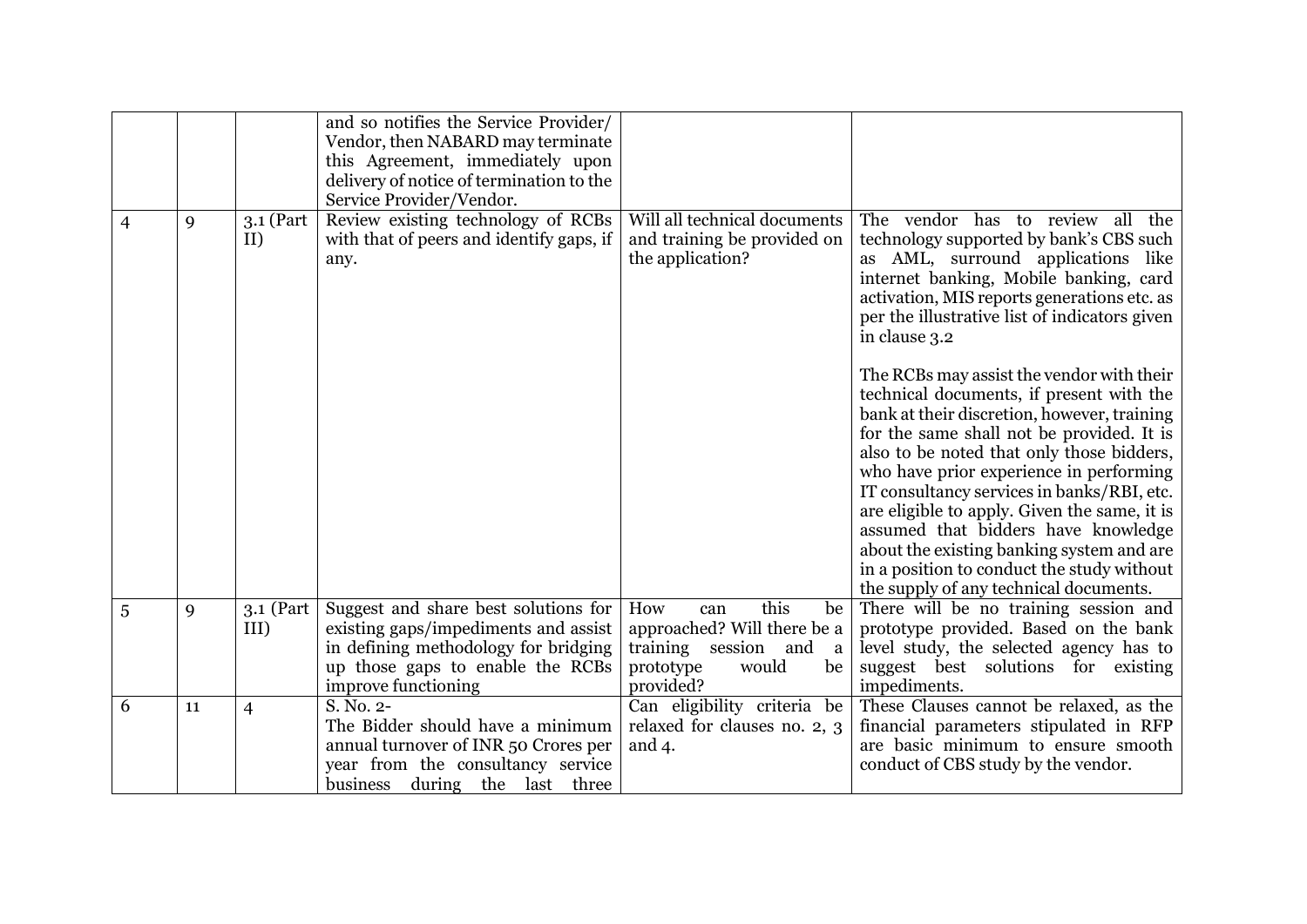|   |    |                    | and so notifies the Service Provider/<br>Vendor, then NABARD may terminate<br>this Agreement, immediately upon<br>delivery of notice of termination to the<br>Service Provider/Vendor. |                                                                                                                                          |                                                                                                                                                                                                                                                                                                                                                                                                                                                                                                                                                     |
|---|----|--------------------|----------------------------------------------------------------------------------------------------------------------------------------------------------------------------------------|------------------------------------------------------------------------------------------------------------------------------------------|-----------------------------------------------------------------------------------------------------------------------------------------------------------------------------------------------------------------------------------------------------------------------------------------------------------------------------------------------------------------------------------------------------------------------------------------------------------------------------------------------------------------------------------------------------|
| 4 | 9  | 3.1 (Part<br>II)   | Review existing technology of RCBs<br>with that of peers and identify gaps, if<br>any.                                                                                                 | Will all technical documents<br>and training be provided on<br>the application?                                                          | The vendor has to review all the<br>technology supported by bank's CBS such<br>as AML, surround applications like<br>internet banking, Mobile banking, card<br>activation, MIS reports generations etc. as<br>per the illustrative list of indicators given<br>in clause 3.2                                                                                                                                                                                                                                                                        |
|   |    |                    |                                                                                                                                                                                        |                                                                                                                                          | The RCBs may assist the vendor with their<br>technical documents, if present with the<br>bank at their discretion, however, training<br>for the same shall not be provided. It is<br>also to be noted that only those bidders,<br>who have prior experience in performing<br>IT consultancy services in banks/RBI, etc.<br>are eligible to apply. Given the same, it is<br>assumed that bidders have knowledge<br>about the existing banking system and are<br>in a position to conduct the study without<br>the supply of any technical documents. |
| 5 | 9  | 3.1 (Part)<br>III) | Suggest and share best solutions for<br>existing gaps/impediments and assist<br>in defining methodology for bridging<br>up those gaps to enable the RCBs<br>improve functioning        | this<br>How<br>be<br>can<br>approached? Will there be a<br>training session and<br><sub>a</sub><br>would<br>prototype<br>be<br>provided? | There will be no training session and<br>prototype provided. Based on the bank<br>level study, the selected agency has to<br>suggest best solutions for existing<br>impediments.                                                                                                                                                                                                                                                                                                                                                                    |
| 6 | 11 | $\overline{4}$     | S. No. 2-<br>The Bidder should have a minimum<br>annual turnover of INR 50 Crores per<br>year from the consultancy service<br>business during the last three                           | Can eligibility criteria be<br>relaxed for clauses no. 2, 3<br>and $4$ .                                                                 | These Clauses cannot be relaxed, as the<br>financial parameters stipulated in RFP<br>are basic minimum to ensure smooth<br>conduct of CBS study by the vendor.                                                                                                                                                                                                                                                                                                                                                                                      |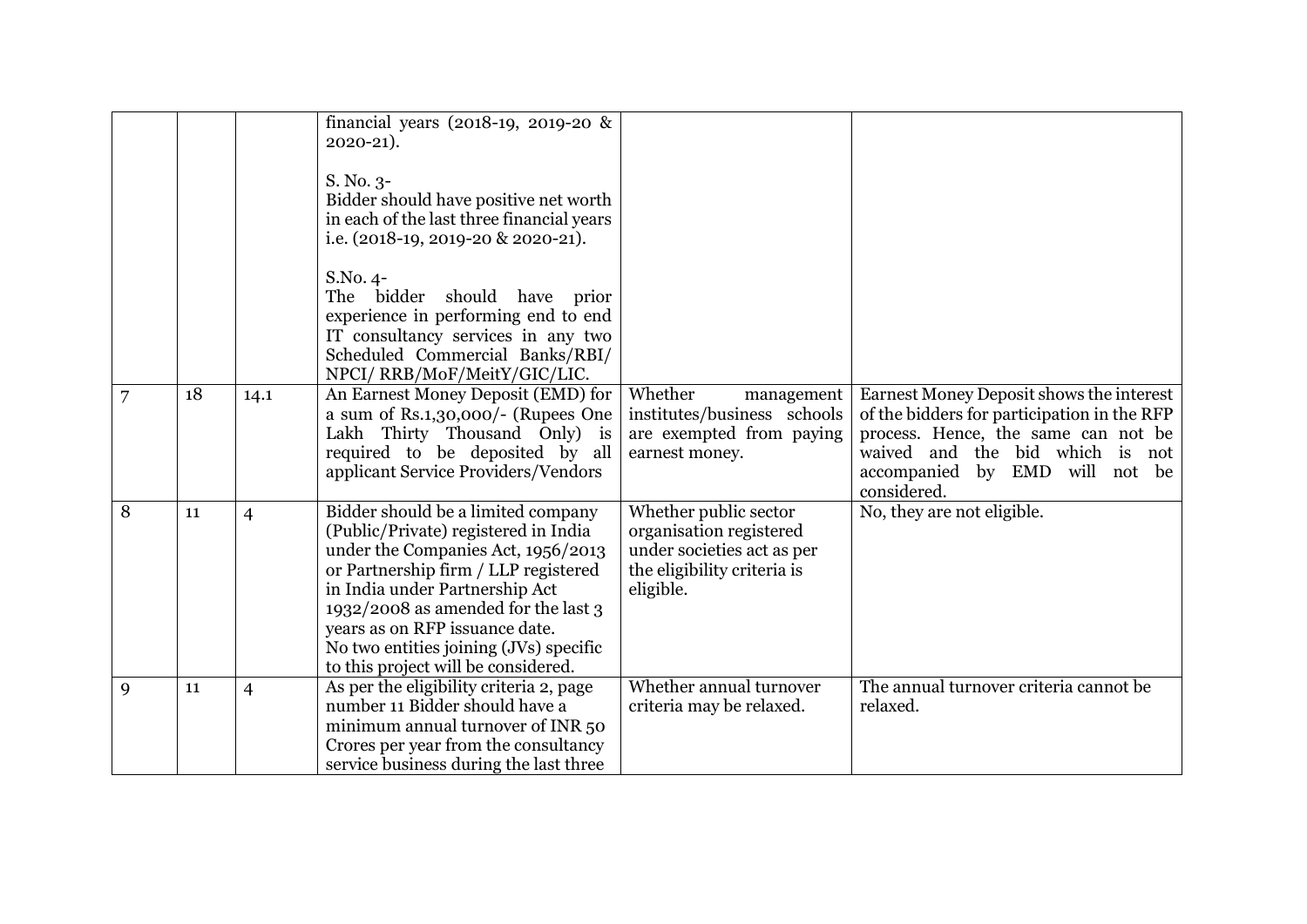|   |    |                | financial years (2018-19, 2019-20 &<br>$2020 - 21$ ).<br>S. No. 3-<br>Bidder should have positive net worth<br>in each of the last three financial years<br>i.e. (2018-19, 2019-20 & 2020-21).                                                                                                                                                       |                                                                                                                            |                                                                                                                                                                                                                    |
|---|----|----------------|------------------------------------------------------------------------------------------------------------------------------------------------------------------------------------------------------------------------------------------------------------------------------------------------------------------------------------------------------|----------------------------------------------------------------------------------------------------------------------------|--------------------------------------------------------------------------------------------------------------------------------------------------------------------------------------------------------------------|
|   |    |                | S.No. 4-<br>The bidder should have prior<br>experience in performing end to end<br>IT consultancy services in any two<br>Scheduled Commercial Banks/RBI/<br>NPCI/RRB/MoF/MeitY/GIC/LIC.                                                                                                                                                              |                                                                                                                            |                                                                                                                                                                                                                    |
|   | 18 | 14.1           | An Earnest Money Deposit (EMD) for<br>a sum of Rs.1,30,000/- (Rupees One<br>Lakh Thirty Thousand Only) is<br>required to be deposited by all<br>applicant Service Providers/Vendors                                                                                                                                                                  | Whether<br>management<br>institutes/business schools<br>are exempted from paying<br>earnest money.                         | Earnest Money Deposit shows the interest<br>of the bidders for participation in the RFP<br>process. Hence, the same can not be<br>waived and the bid which is not<br>accompanied by EMD will not be<br>considered. |
| 8 | 11 | $\overline{4}$ | Bidder should be a limited company<br>(Public/Private) registered in India<br>under the Companies Act, 1956/2013<br>or Partnership firm / LLP registered<br>in India under Partnership Act<br>1932/2008 as amended for the last 3<br>years as on RFP issuance date.<br>No two entities joining (JVs) specific<br>to this project will be considered. | Whether public sector<br>organisation registered<br>under societies act as per<br>the eligibility criteria is<br>eligible. | No, they are not eligible.                                                                                                                                                                                         |
| 9 | 11 | $\overline{4}$ | As per the eligibility criteria 2, page<br>number 11 Bidder should have a<br>minimum annual turnover of INR 50<br>Crores per year from the consultancy<br>service business during the last three                                                                                                                                                     | Whether annual turnover<br>criteria may be relaxed.                                                                        | The annual turnover criteria cannot be<br>relaxed.                                                                                                                                                                 |